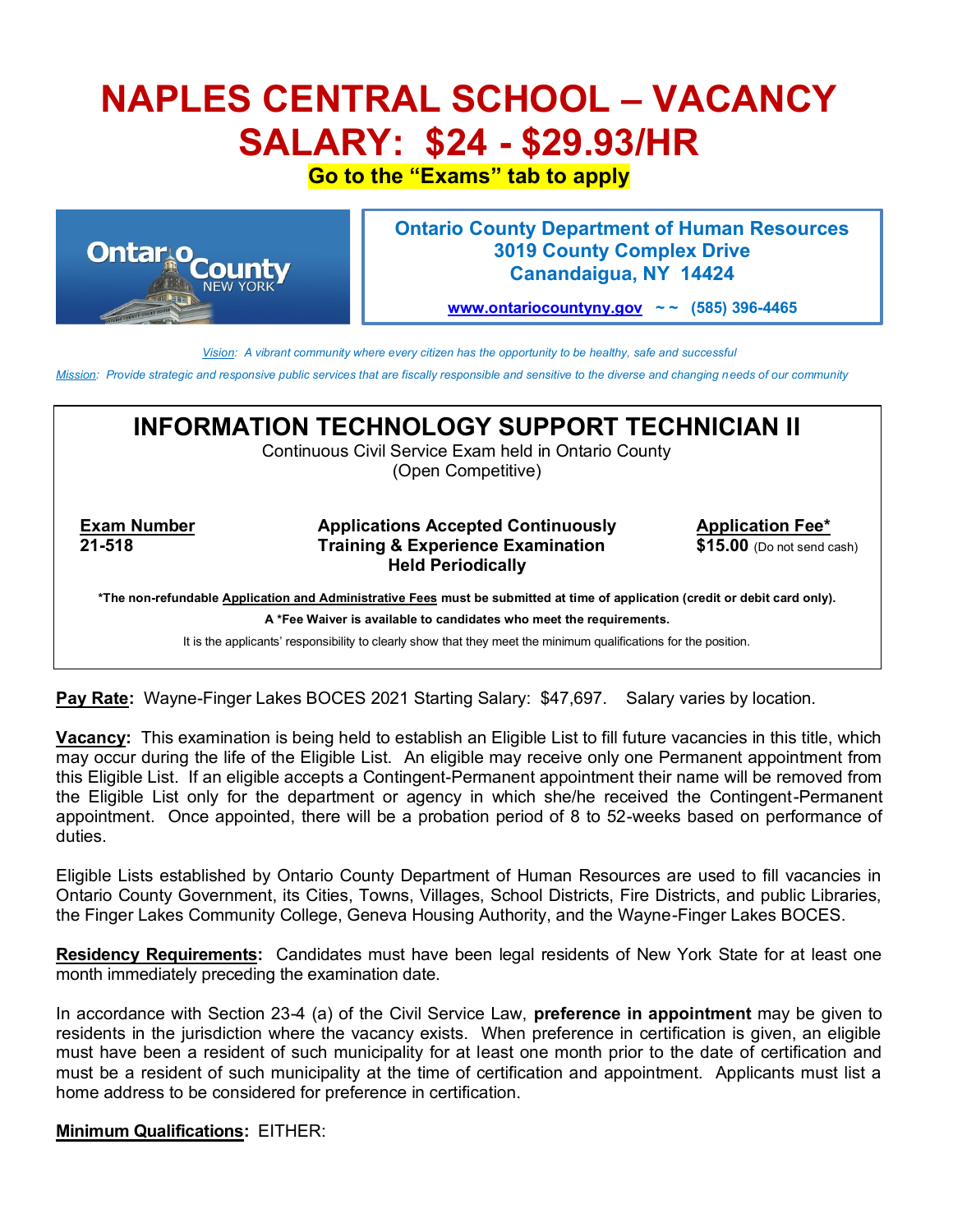# **NAPLES CENTRAL SCHOOL – VACANCY SALARY: \$24 - \$29.93/HR**

## **Go to the "Exams" tab to apply**



### **Ontario County Department of Human Resources 3019 County Complex Drive Canandaigua, NY 14424**

**[www.ontariocountyny.gov](http://www.ontariocountyny.gov/) ~ ~ (585) 396-4465**

*Vision: A vibrant community where every citizen has the opportunity to be healthy, safe and successful*

*Mission: Provide strategic and responsive public services that are fiscally responsible and sensitive to the diverse and changing needs of our community*

# **INFORMATION TECHNOLOGY SUPPORT TECHNICIAN II** Continuous Civil Service Exam held in Ontario County (Open Competitive) **Exam Number Applications Accepted Continuously Application Fee\* 21-518 Training & Experience Examination \$15.00** (Do not send cash) **Held Periodically \*The non-refundable Application and Administrative Fees must be submitted at time of application (credit or debit card only). A \*Fee Waiver is available to candidates who meet the requirements.**

It is the applicants' responsibility to clearly show that they meet the minimum qualifications for the position.

**Pay Rate:** Wayne-Finger Lakes BOCES 2021 Starting Salary: \$47,697. Salary varies by location.

**Vacancy:** This examination is being held to establish an Eligible List to fill future vacancies in this title, which may occur during the life of the Eligible List. An eligible may receive only one Permanent appointment from this Eligible List. If an eligible accepts a Contingent-Permanent appointment their name will be removed from the Eligible List only for the department or agency in which she/he received the Contingent-Permanent appointment. Once appointed, there will be a probation period of 8 to 52-weeks based on performance of duties.

Eligible Lists established by Ontario County Department of Human Resources are used to fill vacancies in Ontario County Government, its Cities, Towns, Villages, School Districts, Fire Districts, and public Libraries, the Finger Lakes Community College, Geneva Housing Authority, and the Wayne-Finger Lakes BOCES.

**Residency Requirements:** Candidates must have been legal residents of New York State for at least one month immediately preceding the examination date.

In accordance with Section 23-4 (a) of the Civil Service Law, **preference in appointment** may be given to residents in the jurisdiction where the vacancy exists. When preference in certification is given, an eligible must have been a resident of such municipality for at least one month prior to the date of certification and must be a resident of such municipality at the time of certification and appointment. Applicants must list a home address to be considered for preference in certification.

#### **Minimum Qualifications:** EITHER: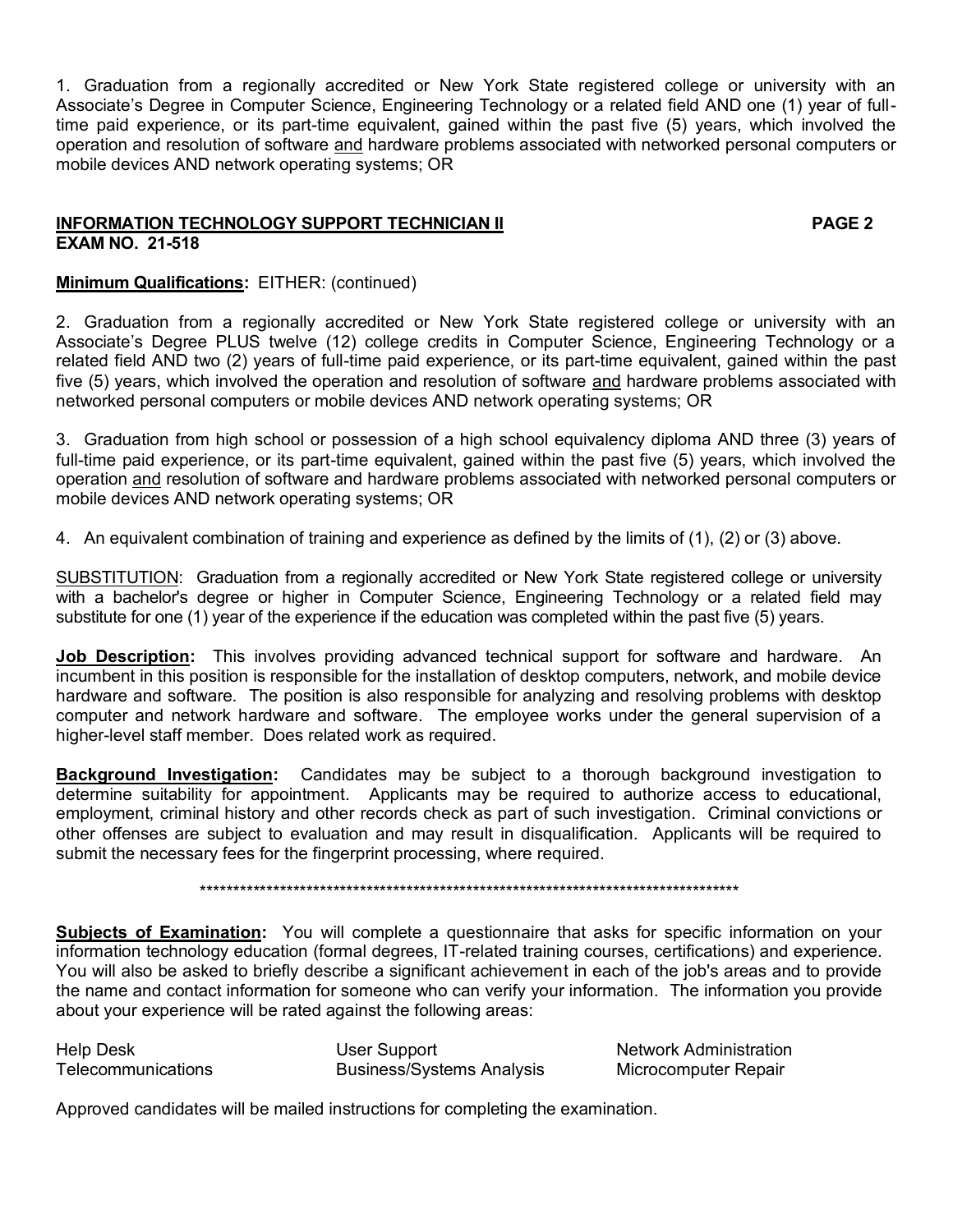1. Graduation from a regionally accredited or New York State registered college or university with an Associate's Degree in Computer Science, Engineering Technology or a related field AND one (1) year of fulltime paid experience, or its part-time equivalent, gained within the past five (5) years, which involved the operation and resolution of software and hardware problems associated with networked personal computers or mobile devices AND network operating systems; OR

#### **INFORMATION TECHNOLOGY SUPPORT TECHNICIAN II EXAMPLE 2 EXAM NO. 21-518**

#### **Minimum Qualifications:** EITHER: (continued)

2. Graduation from a regionally accredited or New York State registered college or university with an Associate's Degree PLUS twelve (12) college credits in Computer Science, Engineering Technology or a related field AND two (2) years of full-time paid experience, or its part-time equivalent, gained within the past five (5) years, which involved the operation and resolution of software and hardware problems associated with networked personal computers or mobile devices AND network operating systems; OR

3. Graduation from high school or possession of a high school equivalency diploma AND three (3) years of full-time paid experience, or its part-time equivalent, gained within the past five (5) years, which involved the operation and resolution of software and hardware problems associated with networked personal computers or mobile devices AND network operating systems; OR

4. An equivalent combination of training and experience as defined by the limits of (1), (2) or (3) above.

SUBSTITUTION: Graduation from a regionally accredited or New York State registered college or university with a bachelor's degree or higher in Computer Science, Engineering Technology or a related field may substitute for one (1) year of the experience if the education was completed within the past five (5) years.

**Job Description:** This involves providing advanced technical support for software and hardware. An incumbent in this position is responsible for the installation of desktop computers, network, and mobile device hardware and software. The position is also responsible for analyzing and resolving problems with desktop computer and network hardware and software. The employee works under the general supervision of a higher-level staff member. Does related work as required.

**Background Investigation:** Candidates may be subject to a thorough background investigation to determine suitability for appointment. Applicants may be required to authorize access to educational, employment, criminal history and other records check as part of such investigation. Criminal convictions or other offenses are subject to evaluation and may result in disqualification. Applicants will be required to submit the necessary fees for the fingerprint processing, where required.

\*\*\*\*\*\*\*\*\*\*\*\*\*\*\*\*\*\*\*\*\*\*\*\*\*\*\*\*\*\*\*\*\*\*\*\*\*\*\*\*\*\*\*\*\*\*\*\*\*\*\*\*\*\*\*\*\*\*\*\*\*\*\*\*\*\*\*\*\*\*\*\*\*\*\*\*\*\*\*\*\*

**Subjects of Examination:** You will complete a questionnaire that asks for specific information on your information technology education (formal degrees, IT-related training courses, certifications) and experience. You will also be asked to briefly describe a significant achievement in each of the job's areas and to provide the name and contact information for someone who can verify your information. The information you provide about your experience will be rated against the following areas:

Help Desk **Network Administration** User Support Network Administration Telecommunications Business/Systems Analysis Microcomputer Repair

Approved candidates will be mailed instructions for completing the examination.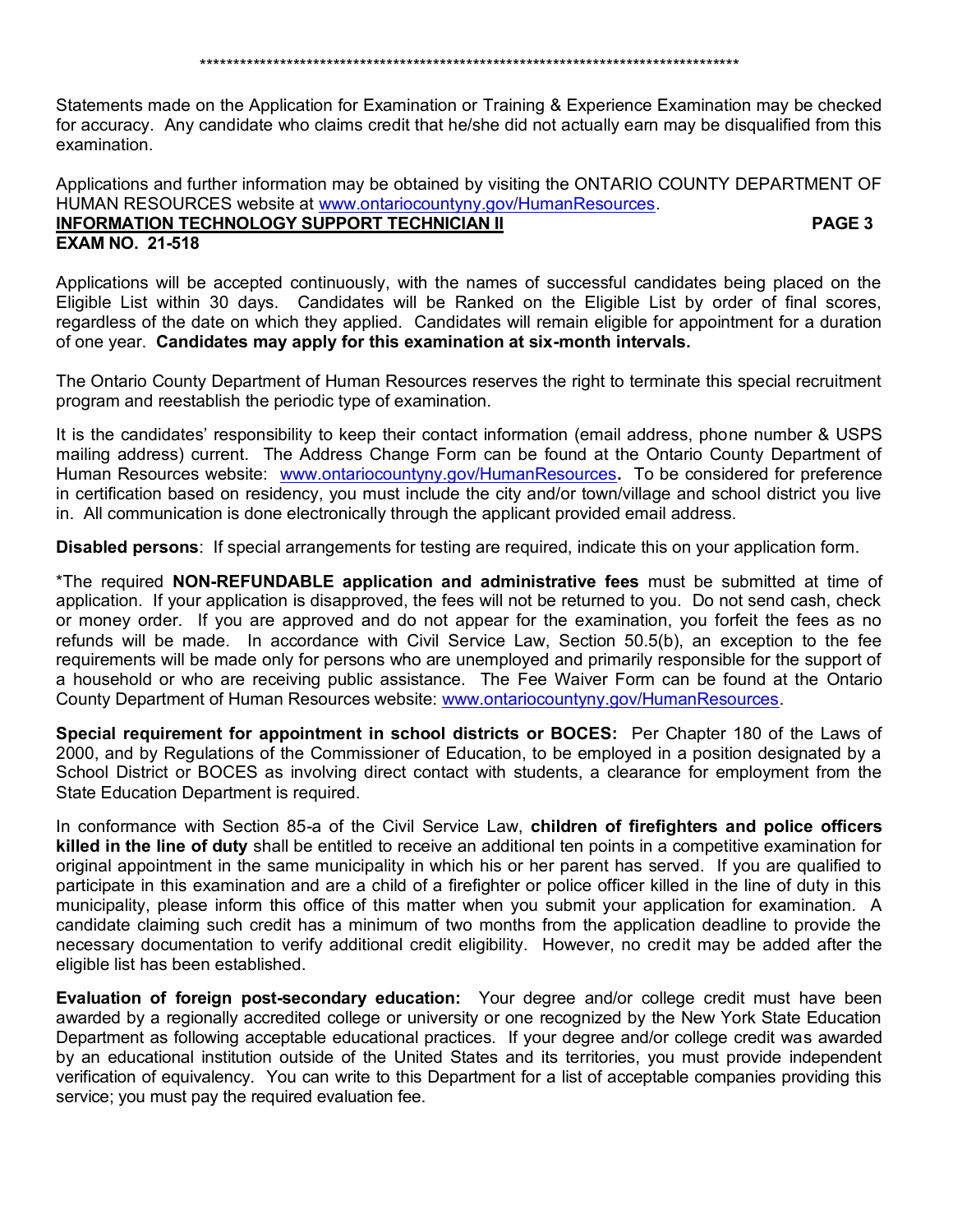#### 

Statements made on the Application for Examination or Training & Experience Examination may be checked for accuracy. Any candidate who claims credit that he/she did not actually earn may be disqualified from this examination

Applications and further information may be obtained by visiting the ONTARIO COUNTY DEPARTMENT OF HUMAN RESOURCES website at www.ontariocountyny.gov/HumanResources. **INFORMATION TECHNOLOGY SUPPORT TECHNICIAN II** PAGE 3 **EXAM NO. 21-518** 

Applications will be accepted continuously, with the names of successful candidates being placed on the Eligible List within 30 days. Candidates will be Ranked on the Eligible List by order of final scores, regardless of the date on which they applied. Candidates will remain eligible for appointment for a duration of one year. Candidates may apply for this examination at six-month intervals.

The Ontario County Department of Human Resources reserves the right to terminate this special recruitment program and reestablish the periodic type of examination.

It is the candidates' responsibility to keep their contact information (email address, phone number & USPS mailing address) current. The Address Change Form can be found at the Ontario County Department of Human Resources website: www.ontariocountyny.gov/HumanResources. To be considered for preference in certification based on residency, you must include the city and/or town/village and school district you live in. All communication is done electronically through the applicant provided email address.

Disabled persons: If special arrangements for testing are required, indicate this on your application form.

\*The required NON-REFUNDABLE application and administrative fees must be submitted at time of application. If your application is disapproved, the fees will not be returned to you. Do not send cash, check or money order. If you are approved and do not appear for the examination, you forfeit the fees as no refunds will be made. In accordance with Civil Service Law, Section 50.5(b), an exception to the fee requirements will be made only for persons who are unemployed and primarily responsible for the support of a household or who are receiving public assistance. The Fee Waiver Form can be found at the Ontario County Department of Human Resources website: www.ontariocountyny.gov/HumanResources.

Special requirement for appointment in school districts or BOCES: Per Chapter 180 of the Laws of 2000, and by Regulations of the Commissioner of Education, to be employed in a position designated by a School District or BOCES as involving direct contact with students, a clearance for employment from the State Education Department is required.

In conformance with Section 85-a of the Civil Service Law, children of firefighters and police officers killed in the line of duty shall be entitled to receive an additional ten points in a competitive examination for original appointment in the same municipality in which his or her parent has served. If you are qualified to participate in this examination and are a child of a firefighter or police officer killed in the line of duty in this municipality, please inform this office of this matter when you submit your application for examination. A candidate claiming such credit has a minimum of two months from the application deadline to provide the necessary documentation to verify additional credit eligibility. However, no credit may be added after the eligible list has been established.

Evaluation of foreign post-secondary education: Your degree and/or college credit must have been awarded by a regionally accredited college or university or one recognized by the New York State Education Department as following acceptable educational practices. If your degree and/or college credit was awarded by an educational institution outside of the United States and its territories, you must provide independent verification of equivalency. You can write to this Department for a list of acceptable companies providing this service; you must pay the required evaluation fee.